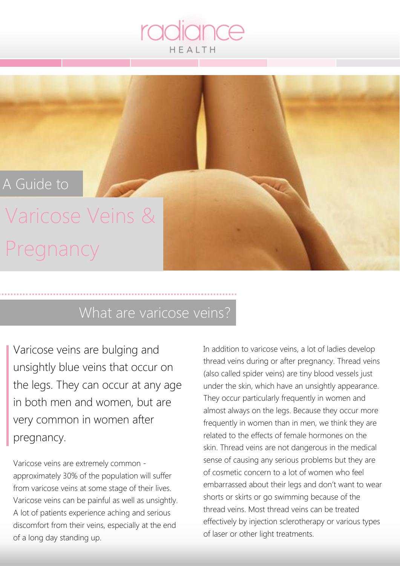#### A Guide to

### Varicose Veins & Pregnancy

#### What are varicose veins?

Varicose veins are bulging and unsightly blue veins that occur on the legs. They can occur at any age in both men and women, but are very common in women after pregnancy.

Varicose veins are extremely common approximately 30% of the population will suffer from varicose veins at some stage of their lives. Varicose veins can be painful as well as unsightly. A lot of patients experience aching and serious discomfort from their veins, especially at the end of a long day standing up.

In addition to varicose veins, a lot of ladies develop thread veins during or after pregnancy. Thread veins (also called spider veins) are tiny blood vessels just under the skin, which have an unsightly appearance. They occur particularly frequently in women and almost always on the legs. Because they occur more frequently in women than in men, we think they are related to the effects of female hormones on the skin. Thread veins are not dangerous in the medical sense of causing any serious problems but they are of cosmetic concern to a lot of women who feel embarrassed about their legs and don't want to wear shorts or skirts or go swimming because of the thread veins. Most thread veins can be treated effectively by injection sclerotherapy or various types of laser or other light treatments.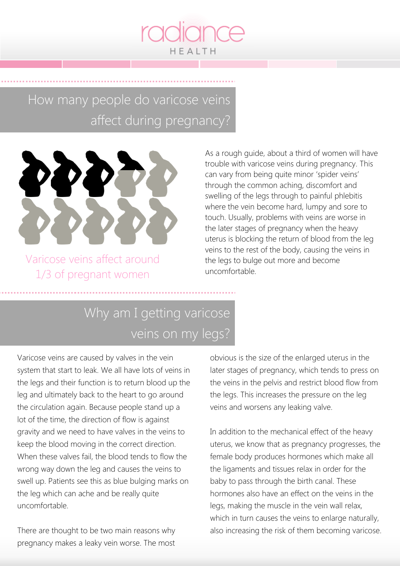

#### How many people do varicose veins affect during pregnancy?



Varicose veins affect around 1/3 of pregnant women

As a rough guide, about a third of women will have trouble with varicose veins during pregnancy. This can vary from being quite minor 'spider veins' through the common aching, discomfort and swelling of the legs through to painful phlebitis where the vein become hard, lumpy and sore to touch. Usually, problems with veins are worse in the later stages of pregnancy when the heavy uterus is blocking the return of blood from the leg veins to the rest of the body, causing the veins in the legs to bulge out more and become uncomfortable.

### Why am I getting varicose veins on my legs?

Varicose veins are caused by valves in the vein system that start to leak. We all have lots of veins in the legs and their function is to return blood up the leg and ultimately back to the heart to go around the circulation again. Because people stand up a lot of the time, the direction of flow is against gravity and we need to have valves in the veins to keep the blood moving in the correct direction. When these valves fail, the blood tends to flow the wrong way down the leg and causes the veins to swell up. Patients see this as blue bulging marks on the leg which can ache and be really quite uncomfortable.

There are thought to be two main reasons why pregnancy makes a leaky vein worse. The most obvious is the size of the enlarged uterus in the later stages of pregnancy, which tends to press on the veins in the pelvis and restrict blood flow from the legs. This increases the pressure on the leg veins and worsens any leaking valve.

In addition to the mechanical effect of the heavy uterus, we know that as pregnancy progresses, the female body produces hormones which make all the ligaments and tissues relax in order for the baby to pass through the birth canal. These hormones also have an effect on the veins in the legs, making the muscle in the vein wall relax, which in turn causes the veins to enlarge naturally, also increasing the risk of them becoming varicose.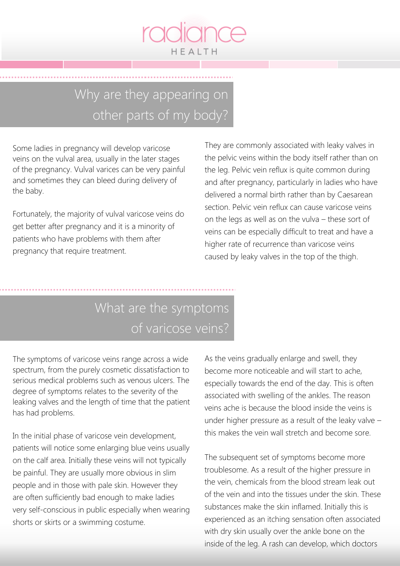

### Why are they appearing on other parts of my body?

Some ladies in pregnancy will develop varicose veins on the vulval area, usually in the later stages of the pregnancy. Vulval varices can be very painful and sometimes they can bleed during delivery of the baby.

Fortunately, the majority of vulval varicose veins do get better after pregnancy and it is a minority of patients who have problems with them after pregnancy that require treatment.

They are commonly associated with leaky valves in the pelvic veins within the body itself rather than on the leg. Pelvic vein reflux is quite common during and after pregnancy, particularly in ladies who have delivered a normal birth rather than by Caesarean section. Pelvic vein reflux can cause varicose veins on the legs as well as on the vulva – these sort of veins can be especially difficult to treat and have a higher rate of recurrence than varicose veins caused by leaky valves in the top of the thigh.

#### What are the symptoms of varicose veins?

The symptoms of varicose veins range across a wide spectrum, from the purely cosmetic dissatisfaction to serious medical problems such as venous ulcers. The degree of symptoms relates to the severity of the leaking valves and the length of time that the patient has had problems.

In the initial phase of varicose vein development, patients will notice some enlarging blue veins usually on the calf area. Initially these veins will not typically be painful. They are usually more obvious in slim people and in those with pale skin. However they are often sufficiently bad enough to make ladies very self-conscious in public especially when wearing shorts or skirts or a swimming costume.

As the veins gradually enlarge and swell, they become more noticeable and will start to ache, especially towards the end of the day. This is often associated with swelling of the ankles. The reason veins ache is because the blood inside the veins is under higher pressure as a result of the leaky valve – this makes the vein wall stretch and become sore.

The subsequent set of symptoms become more troublesome. As a result of the higher pressure in the vein, chemicals from the blood stream leak out of the vein and into the tissues under the skin. These substances make the skin inflamed. Initially this is experienced as an itching sensation often associated with dry skin usually over the ankle bone on the inside of the leg. A rash can develop, which doctors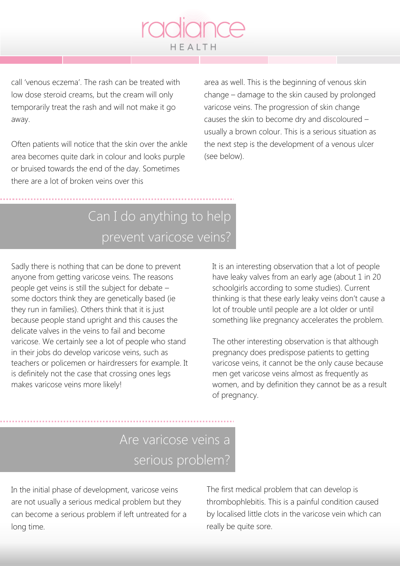call 'venous eczema'. The rash can be treated with low dose steroid creams, but the cream will only temporarily treat the rash and will not make it go away.

Often patients will notice that the skin over the ankle area becomes quite dark in colour and looks purple or bruised towards the end of the day. Sometimes there are a lot of broken veins over this

area as well. This is the beginning of venous skin change – damage to the skin caused by prolonged varicose veins. The progression of skin change causes the skin to become dry and discoloured – usually a brown colour. This is a serious situation as the next step is the development of a venous ulcer (see below).

### Can I do anything to help prevent varicose veins?

HEALTH

Sadly there is nothing that can be done to prevent anyone from getting varicose veins. The reasons people get veins is still the subject for debate – some doctors think they are genetically based (ie they run in families). Others think that it is just because people stand upright and this causes the delicate valves in the veins to fail and become varicose. We certainly see a lot of people who stand in their jobs do develop varicose veins, such as teachers or policemen or hairdressers for example. It is definitely not the case that crossing ones legs makes varicose veins more likely!

It is an interesting observation that a lot of people have leaky valves from an early age (about 1 in 20 schoolgirls according to some studies). Current thinking is that these early leaky veins don't cause a lot of trouble until people are a lot older or until something like pregnancy accelerates the problem.

The other interesting observation is that although pregnancy does predispose patients to getting varicose veins, it cannot be the only cause because men get varicose veins almost as frequently as women, and by definition they cannot be as a result of pregnancy.

### Are varicose veins a serious problem?

In the initial phase of development, varicose veins are not usually a serious medical problem but they can become a serious problem if left untreated for a long time.

The first medical problem that can develop is thrombophlebitis. This is a painful condition caused by localised little clots in the varicose vein which can really be quite sore.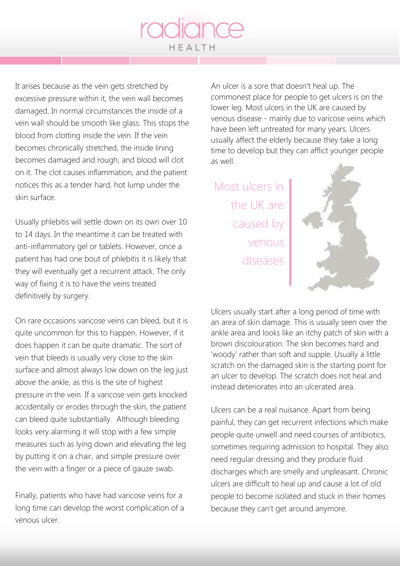It arises because as the vein gets stretched by excessive pressure within it, the vein wall becomes damaged. In normal circumstances the inside of a vein wall should be smooth like glass. This stops the blood from clotting inside the vein. If the vein becomes chronically stretched, the inside lining becomes damaged and rough, and blood will clot on it. The clot causes inflammation, and the patient notices this as a tender hard, hot lump under the skin surface.

Usually phlebitis will settle down on its own over 10 to 14 days. In the meantime it can be treated with anti-inflammatory gel or tablets. However, once a patient has had one bout of phlebitis it is likely that they will eventually get a recurrent attack. The only way of fixing it is to have the veins treated definitively by surgery.

On rare occasions varicose veins can bleed, but it is quite uncommon for this to happen. However, if it does happen it can be quite dramatic. The sort of vein that bleeds is usually very close to the skin surface and almost always low down on the leg just above the ankle, as this is the site of highest pressure in the vein. If a varicose vein gets knocked accidentally or erodes through the skin, the patient can bleed quite substantially. Although bleeding looks very alarming it will stop with a few simple measures such as lying down and elevating the leg by putting it on a chair, and simple pressure over the vein with a finger or a piece of gauze swab.

Finally, patients who have had varicose veins for a long time can develop the worst complication of a venous ulcer.

An ulcer is a sore that doesn't heal up. The commonest place for people to get ulcers is on the lower leg. Most ulcers in the UK are caused by venous disease - mainly due to varicose veins which have been left untreated for many years. Ulcers usually affect the elderly because they take a long time to develop but they can afflict younger people as well.

Most ulcers in the UK are caused by venous diseases



Ulcers usually start after a long period of time with an area of skin damage. This is usually seen over the ankle area and looks like an itchy patch of skin with a brown discolouration. The skin becomes hard and 'woody' rather than soft and supple. Usually a little scratch on the damaged skin is the starting point for an ulcer to develop. The scratch does not heal and instead deteriorates into an ulcerated area.

Ulcers can be a real nuisance. Apart from being painful, they can get recurrent infections which make people quite unwell and need courses of antibiotics, sometimes requiring admission to hospital. They also need regular dressing and they produce fluid discharges which are smelly and unpleasant. Chronic ulcers are difficult to heal up and cause a lot of old people to become isolated and stuck in their homes because they can't get around anymore.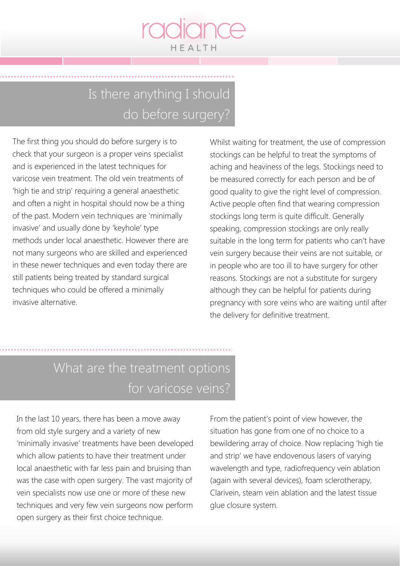

### Is there anything I should do before surgery?

The first thing you should do before surgery is to check that your surgeon is a proper veins specialist and is experienced in the latest techniques for varicose vein treatment. The old vein treatments of 'high tie and strip' requiring a general anaesthetic and often a night in hospital should now be a thing of the past. Modern vein techniques are 'minimally invasive' and usually done by 'keyhole' type methods under local anaesthetic. However there are not many surgeons who are skilled and experienced in these newer techniques and even today there are still patients being treated by standard surgical techniques who could be offered a minimally invasive alternative.

Whilst waiting for treatment, the use of compression stockings can be helpful to treat the symptoms of aching and heaviness of the legs. Stockings need to be measured correctly for each person and be of good quality to give the right level of compression. Active people often find that wearing compression stockings long term is quite difficult. Generally speaking, compression stockings are only really suitable in the long term for patients who can't have vein surgery because their veins are not suitable, or in people who are too ill to have surgery for other reasons. Stockings are not a substitute for surgery although they can be helpful for patients during pregnancy with sore veins who are waiting until after the delivery for definitive treatment.

### What are the treatment options for varicose veins?

In the last 10 years, there has been a move away from old style surgery and a variety of new 'minimally invasive' treatments have been developed which allow patients to have their treatment under local anaesthetic with far less pain and bruising than was the case with open surgery. The vast majority of vein specialists now use one or more of these new techniques and very few vein surgeons now perform open surgery as their first choice technique.

From the patient's point of view however, the situation has gone from one of no choice to a bewildering array of choice. Now replacing 'high tie and strip' we have endovenous lasers of varying wavelength and type, radiofrequency vein ablation (again with several devices), foam sclerotherapy, Clarivein, steam vein ablation and the latest tissue glue closure system.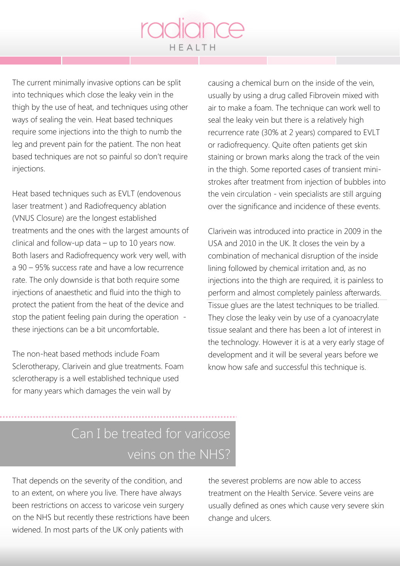The current minimally invasive options can be split into techniques which close the leaky vein in the thigh by the use of heat, and techniques using other ways of sealing the vein. Heat based techniques require some injections into the thigh to numb the leg and prevent pain for the patient. The non heat based techniques are not so painful so don't require injections.

Heat based techniques such as EVLT (endovenous laser treatment ) and Radiofrequency ablation (VNUS Closure) are the longest established treatments and the ones with the largest amounts of clinical and follow-up data – up to 10 years now. Both lasers and Radiofrequency work very well, with a 90 – 95% success rate and have a low recurrence rate. The only downside is that both require some injections of anaesthetic and fluid into the thigh to protect the patient from the heat of the device and stop the patient feeling pain during the operation these injections can be a bit uncomfortable.

The non-heat based methods include Foam Sclerotherapy, Clarivein and glue treatments. Foam sclerotherapy is a well established technique used for many years which damages the vein wall by

causing a chemical burn on the inside of the vein, usually by using a drug called Fibrovein mixed with air to make a foam. The technique can work well to seal the leaky vein but there is a relatively high recurrence rate (30% at 2 years) compared to EVLT or radiofrequency. Quite often patients get skin staining or brown marks along the track of the vein in the thigh. Some reported cases of transient ministrokes after treatment from injection of bubbles into the vein circulation - vein specialists are still arguing over the significance and incidence of these events.

Clarivein was introduced into practice in 2009 in the USA and 2010 in the UK. It closes the vein by a combination of mechanical disruption of the inside lining followed by chemical irritation and, as no injections into the thigh are required, it is painless to perform and almost completely painless afterwards. Tissue glues are the latest techniques to be trialled. They close the leaky vein by use of a cyanoacrylate tissue sealant and there has been a lot of interest in the technology. However it is at a very early stage of development and it will be several years before we know how safe and successful this technique is.

#### Can I be treated for varicose veins on the NHS?

That depends on the severity of the condition, and to an extent, on where you live. There have always been restrictions on access to varicose vein surgery on the NHS but recently these restrictions have been widened. In most parts of the UK only patients with

the severest problems are now able to access treatment on the Health Service. Severe veins are usually defined as ones which cause very severe skin change and ulcers.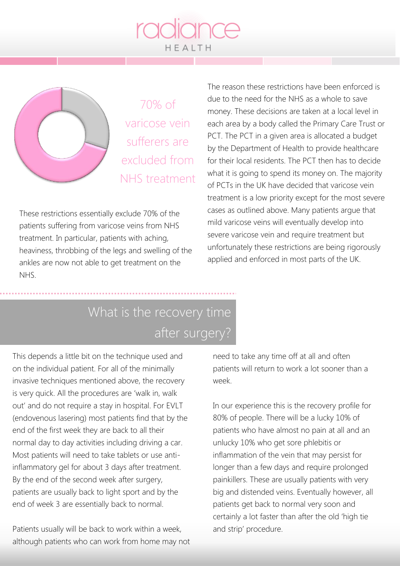

70% of varicose vein sufferers are excluded from NHS treatment

These restrictions essentially exclude 70% of the patients suffering from varicose veins from NHS treatment. In particular, patients with aching, heaviness, throbbing of the legs and swelling of the ankles are now not able to get treatment on the NHS.

The reason these restrictions have been enforced is due to the need for the NHS as a whole to save money. These decisions are taken at a local level in each area by a body called the Primary Care Trust or PCT. The PCT in a given area is allocated a budget by the Department of Health to provide healthcare for their local residents. The PCT then has to decide what it is going to spend its money on. The majority of PCTs in the UK have decided that varicose vein treatment is a low priority except for the most severe cases as outlined above. Many patients argue that mild varicose veins will eventually develop into severe varicose vein and require treatment but unfortunately these restrictions are being rigorously applied and enforced in most parts of the UK.

### What is the recovery time after surgery?

This depends a little bit on the technique used and on the individual patient. For all of the minimally invasive techniques mentioned above, the recovery is very quick. All the procedures are 'walk in, walk out' and do not require a stay in hospital. For EVLT (endovenous lasering) most patients find that by the end of the first week they are back to all their normal day to day activities including driving a car. Most patients will need to take tablets or use antiinflammatory gel for about 3 days after treatment. By the end of the second week after surgery, patients are usually back to light sport and by the end of week 3 are essentially back to normal.

Patients usually will be back to work within a week, although patients who can work from home may not

need to take any time off at all and often patients will return to work a lot sooner than a week.

In our experience this is the recovery profile for 80% of people. There will be a lucky 10% of patients who have almost no pain at all and an unlucky 10% who get sore phlebitis or inflammation of the vein that may persist for longer than a few days and require prolonged painkillers. These are usually patients with very big and distended veins. Eventually however, all patients get back to normal very soon and certainly a lot faster than after the old 'high tie and strip' procedure.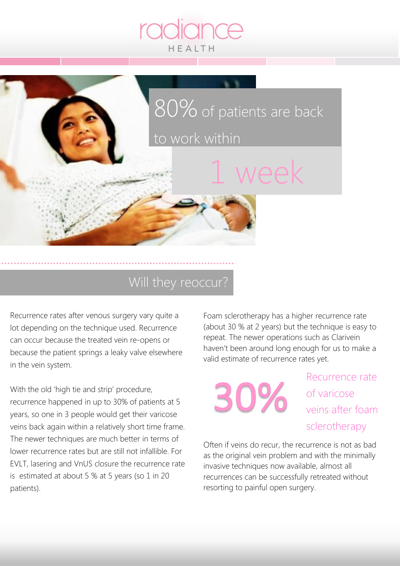

#### Will they reoccur?

Recurrence rates after venous surgery vary quite a lot depending on the technique used. Recurrence can occur because the treated vein re-opens or because the patient springs a leaky valve elsewhere in the vein system.

With the old 'high tie and strip' procedure, recurrence happened in up to 30% of patients at 5 years, so one in 3 people would get their varicose veins back again within a relatively short time frame. The newer techniques are much better in terms of lower recurrence rates but are still not infallible. For EVLT, lasering and VnUS closure the recurrence rate is estimated at about 5 % at 5 years (so 1 in 20 patients).

Foam sclerotherapy has a higher recurrence rate (about 30 % at 2 years) but the technique is easy to repeat. The newer operations such as Clarivein haven't been around long enough for us to make a valid estimate of recurrence rates yet.



Recurrence rate of varicose veins after foam sclerotherapy

Often if veins do recur, the recurrence is not as bad as the original vein problem and with the minimally invasive techniques now available, almost all recurrences can be successfully retreated without resorting to painful open surgery.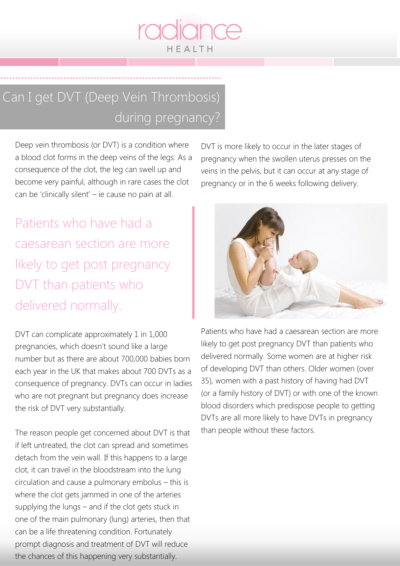### Can I get DVT (Deep Vein Thrombosis) during pregnancy?

HEALTH

Deep vein thrombosis (or DVT) is a condition where a blood clot forms in the deep veins of the legs. As a consequence of the clot, the leg can swell up and become very painful, although in rare cases the clot can be 'clinically silent' – ie cause no pain at all.

Patients who have had a caesarean section are more likely to get post pregnancy DVT than patients who delivered normally.

DVT can complicate approximately 1 in 1,000 pregnancies, which doesn't sound like a large number but as there are about 700,000 babies born each year in the UK that makes about 700 DVTs as a consequence of pregnancy. DVTs can occur in ladies who are not pregnant but pregnancy does increase the risk of DVT very substantially.

The reason people get concerned about DVT is that if left untreated, the clot can spread and sometimes detach from the vein wall. If this happens to a large clot, it can travel in the bloodstream into the lung circulation and cause a pulmonary embolus – this is where the clot gets jammed in one of the arteries supplying the lungs – and if the clot gets stuck in one of the main pulmonary (lung) arteries, then that can be a life threatening condition. Fortunately prompt diagnosis and treatment of DVT will reduce the chances of this happening very substantially.

DVT is more likely to occur in the later stages of pregnancy when the swollen uterus presses on the veins in the pelvis, but it can occur at any stage of pregnancy or in the 6 weeks following delivery.



Patients who have had a caesarean section are more likely to get post pregnancy DVT than patients who delivered normally. Some women are at higher risk of developing DVT than others. Older women (over 35), women with a past history of having had DVT (or a family history of DVT) or with one of the known blood disorders which predispose people to getting DVTs are all more likely to have DVTs in pregnancy than people without these factors.